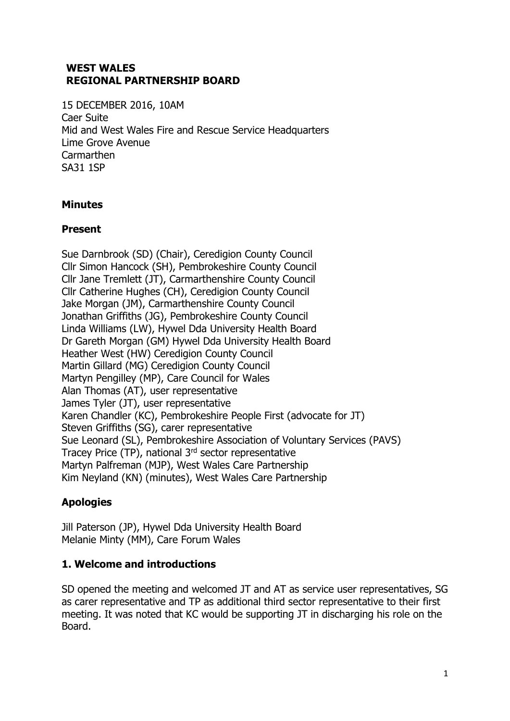#### **WEST WALES REGIONAL PARTNERSHIP BOARD**

15 DECEMBER 2016, 10AM Caer Suite Mid and West Wales Fire and Rescue Service Headquarters Lime Grove Avenue **Carmarthen** SA31 1SP

## **Minutes**

#### **Present**

Sue Darnbrook (SD) (Chair), Ceredigion County Council Cllr Simon Hancock (SH), Pembrokeshire County Council Cllr Jane Tremlett (JT), Carmarthenshire County Council Cllr Catherine Hughes (CH), Ceredigion County Council Jake Morgan (JM), Carmarthenshire County Council Jonathan Griffiths (JG), Pembrokeshire County Council Linda Williams (LW), Hywel Dda University Health Board Dr Gareth Morgan (GM) Hywel Dda University Health Board Heather West (HW) Ceredigion County Council Martin Gillard (MG) Ceredigion County Council Martyn Pengilley (MP), Care Council for Wales Alan Thomas (AT), user representative James Tyler (JT), user representative Karen Chandler (KC), Pembrokeshire People First (advocate for JT) Steven Griffiths (SG), carer representative Sue Leonard (SL), Pembrokeshire Association of Voluntary Services (PAVS) Tracey Price (TP), national 3rd sector representative Martyn Palfreman (MJP), West Wales Care Partnership Kim Neyland (KN) (minutes), West Wales Care Partnership

# **Apologies**

Jill Paterson (JP), Hywel Dda University Health Board Melanie Minty (MM), Care Forum Wales

#### **1. Welcome and introductions**

SD opened the meeting and welcomed JT and AT as service user representatives, SG as carer representative and TP as additional third sector representative to their first meeting. It was noted that KC would be supporting JT in discharging his role on the Board.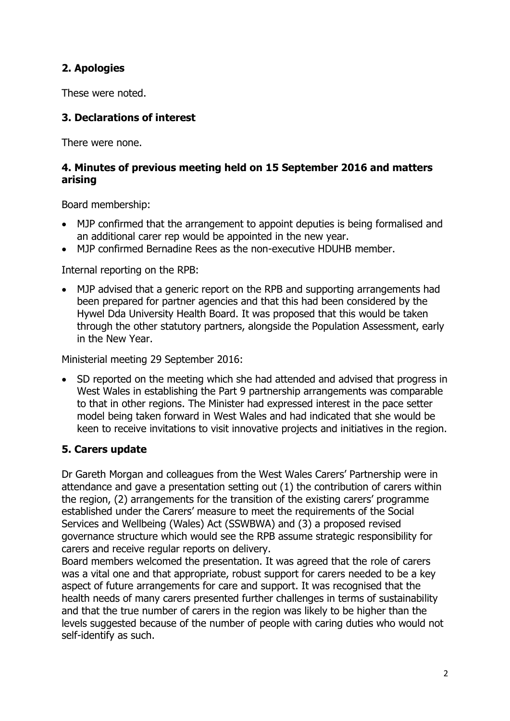# **2. Apologies**

These were noted.

# **3. Declarations of interest**

There were none.

#### **4. Minutes of previous meeting held on 15 September 2016 and matters arising**

Board membership:

- MJP confirmed that the arrangement to appoint deputies is being formalised and an additional carer rep would be appointed in the new year.
- MJP confirmed Bernadine Rees as the non-executive HDUHB member.

Internal reporting on the RPB:

 MJP advised that a generic report on the RPB and supporting arrangements had been prepared for partner agencies and that this had been considered by the Hywel Dda University Health Board. It was proposed that this would be taken through the other statutory partners, alongside the Population Assessment, early in the New Year.

Ministerial meeting 29 September 2016:

• SD reported on the meeting which she had attended and advised that progress in West Wales in establishing the Part 9 partnership arrangements was comparable to that in other regions. The Minister had expressed interest in the pace setter model being taken forward in West Wales and had indicated that she would be keen to receive invitations to visit innovative projects and initiatives in the region.

# **5. Carers update**

Dr Gareth Morgan and colleagues from the West Wales Carers' Partnership were in attendance and gave a presentation setting out (1) the contribution of carers within the region, (2) arrangements for the transition of the existing carers' programme established under the Carers' measure to meet the requirements of the Social Services and Wellbeing (Wales) Act (SSWBWA) and (3) a proposed revised governance structure which would see the RPB assume strategic responsibility for carers and receive regular reports on delivery.

Board members welcomed the presentation. It was agreed that the role of carers was a vital one and that appropriate, robust support for carers needed to be a key aspect of future arrangements for care and support. It was recognised that the health needs of many carers presented further challenges in terms of sustainability and that the true number of carers in the region was likely to be higher than the levels suggested because of the number of people with caring duties who would not self-identify as such.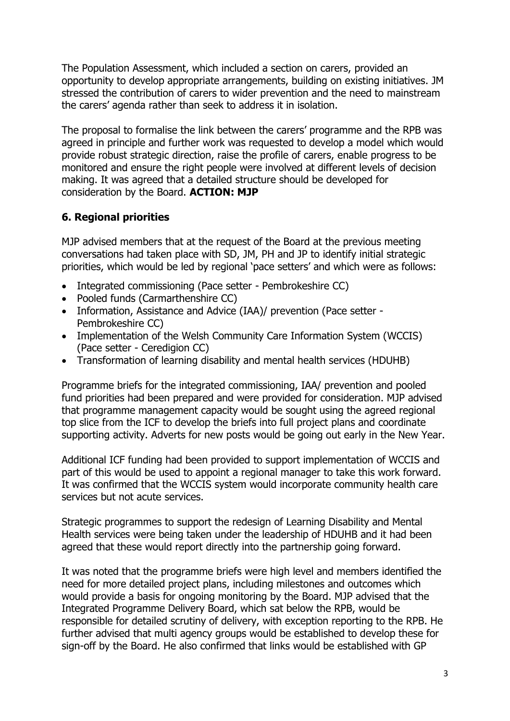The Population Assessment, which included a section on carers, provided an opportunity to develop appropriate arrangements, building on existing initiatives. JM stressed the contribution of carers to wider prevention and the need to mainstream the carers' agenda rather than seek to address it in isolation.

The proposal to formalise the link between the carers' programme and the RPB was agreed in principle and further work was requested to develop a model which would provide robust strategic direction, raise the profile of carers, enable progress to be monitored and ensure the right people were involved at different levels of decision making. It was agreed that a detailed structure should be developed for consideration by the Board. **ACTION: MJP**

### **6. Regional priorities**

MJP advised members that at the request of the Board at the previous meeting conversations had taken place with SD, JM, PH and JP to identify initial strategic priorities, which would be led by regional 'pace setters' and which were as follows:

- Integrated commissioning (Pace setter Pembrokeshire CC)
- Pooled funds (Carmarthenshire CC)
- Information, Assistance and Advice (IAA)/ prevention (Pace setter -Pembrokeshire CC)
- Implementation of the Welsh Community Care Information System (WCCIS) (Pace setter - Ceredigion CC)
- Transformation of learning disability and mental health services (HDUHB)

Programme briefs for the integrated commissioning, IAA/ prevention and pooled fund priorities had been prepared and were provided for consideration. MJP advised that programme management capacity would be sought using the agreed regional top slice from the ICF to develop the briefs into full project plans and coordinate supporting activity. Adverts for new posts would be going out early in the New Year.

Additional ICF funding had been provided to support implementation of WCCIS and part of this would be used to appoint a regional manager to take this work forward. It was confirmed that the WCCIS system would incorporate community health care services but not acute services.

Strategic programmes to support the redesign of Learning Disability and Mental Health services were being taken under the leadership of HDUHB and it had been agreed that these would report directly into the partnership going forward.

It was noted that the programme briefs were high level and members identified the need for more detailed project plans, including milestones and outcomes which would provide a basis for ongoing monitoring by the Board. MJP advised that the Integrated Programme Delivery Board, which sat below the RPB, would be responsible for detailed scrutiny of delivery, with exception reporting to the RPB. He further advised that multi agency groups would be established to develop these for sign-off by the Board. He also confirmed that links would be established with GP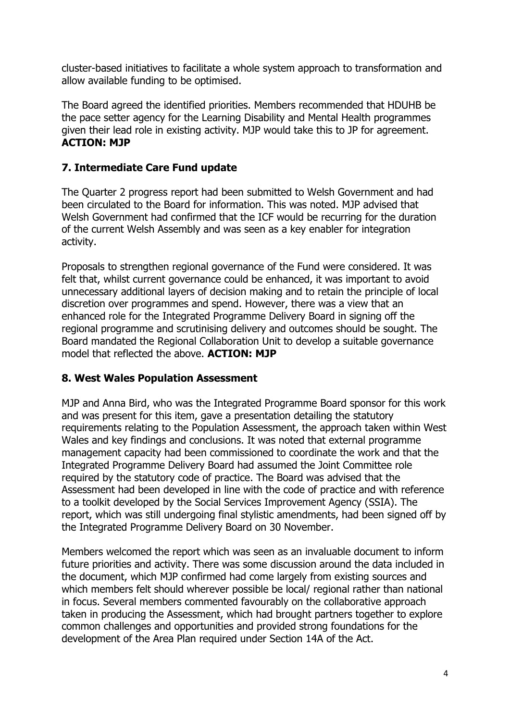cluster-based initiatives to facilitate a whole system approach to transformation and allow available funding to be optimised.

The Board agreed the identified priorities. Members recommended that HDUHB be the pace setter agency for the Learning Disability and Mental Health programmes given their lead role in existing activity. MJP would take this to JP for agreement. **ACTION: MJP**

### **7. Intermediate Care Fund update**

The Quarter 2 progress report had been submitted to Welsh Government and had been circulated to the Board for information. This was noted. MJP advised that Welsh Government had confirmed that the ICF would be recurring for the duration of the current Welsh Assembly and was seen as a key enabler for integration activity.

Proposals to strengthen regional governance of the Fund were considered. It was felt that, whilst current governance could be enhanced, it was important to avoid unnecessary additional layers of decision making and to retain the principle of local discretion over programmes and spend. However, there was a view that an enhanced role for the Integrated Programme Delivery Board in signing off the regional programme and scrutinising delivery and outcomes should be sought. The Board mandated the Regional Collaboration Unit to develop a suitable governance model that reflected the above. **ACTION: MJP**

#### **8. West Wales Population Assessment**

MJP and Anna Bird, who was the Integrated Programme Board sponsor for this work and was present for this item, gave a presentation detailing the statutory requirements relating to the Population Assessment, the approach taken within West Wales and key findings and conclusions. It was noted that external programme management capacity had been commissioned to coordinate the work and that the Integrated Programme Delivery Board had assumed the Joint Committee role required by the statutory code of practice. The Board was advised that the Assessment had been developed in line with the code of practice and with reference to a toolkit developed by the Social Services Improvement Agency (SSIA). The report, which was still undergoing final stylistic amendments, had been signed off by the Integrated Programme Delivery Board on 30 November.

Members welcomed the report which was seen as an invaluable document to inform future priorities and activity. There was some discussion around the data included in the document, which MJP confirmed had come largely from existing sources and which members felt should wherever possible be local/ regional rather than national in focus. Several members commented favourably on the collaborative approach taken in producing the Assessment, which had brought partners together to explore common challenges and opportunities and provided strong foundations for the development of the Area Plan required under Section 14A of the Act.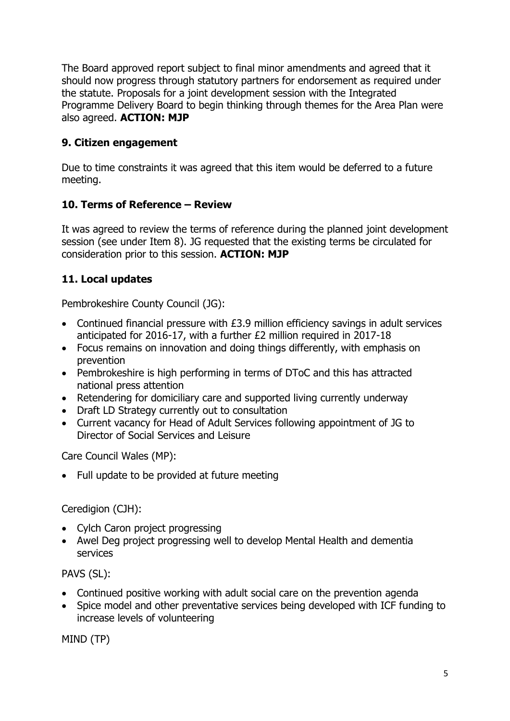The Board approved report subject to final minor amendments and agreed that it should now progress through statutory partners for endorsement as required under the statute. Proposals for a joint development session with the Integrated Programme Delivery Board to begin thinking through themes for the Area Plan were also agreed. **ACTION: MJP**

## **9. Citizen engagement**

Due to time constraints it was agreed that this item would be deferred to a future meeting.

## **10. Terms of Reference – Review**

It was agreed to review the terms of reference during the planned joint development session (see under Item 8). JG requested that the existing terms be circulated for consideration prior to this session. **ACTION: MJP**

## **11. Local updates**

Pembrokeshire County Council (JG):

- Continued financial pressure with £3.9 million efficiency savings in adult services anticipated for 2016-17, with a further £2 million required in 2017-18
- Focus remains on innovation and doing things differently, with emphasis on prevention
- Pembrokeshire is high performing in terms of DToC and this has attracted national press attention
- Retendering for domiciliary care and supported living currently underway
- Draft LD Strategy currently out to consultation
- Current vacancy for Head of Adult Services following appointment of JG to Director of Social Services and Leisure

Care Council Wales (MP):

• Full update to be provided at future meeting

### Ceredigion (CJH):

- Cylch Caron project progressing
- Awel Deg project progressing well to develop Mental Health and dementia services

PAVS (SL):

- Continued positive working with adult social care on the prevention agenda
- Spice model and other preventative services being developed with ICF funding to increase levels of volunteering

MIND (TP)